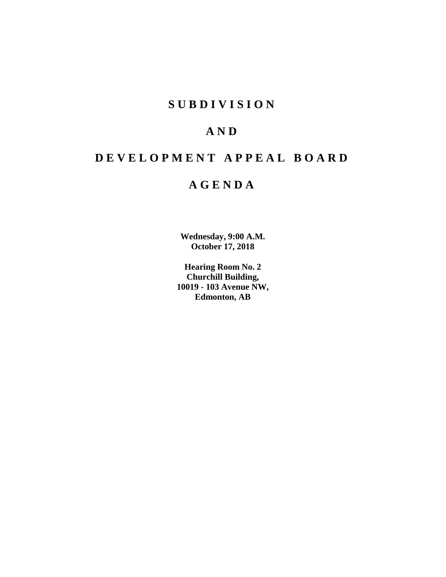## **S U B D I V I S I O N**

## **A N D**

# **D E V E L O P M E N T A P P E A L B O A R D**

## **A G E N D A**

**Wednesday, 9:00 A.M. October 17, 2018**

**Hearing Room No. 2 Churchill Building, 10019 - 103 Avenue NW, Edmonton, AB**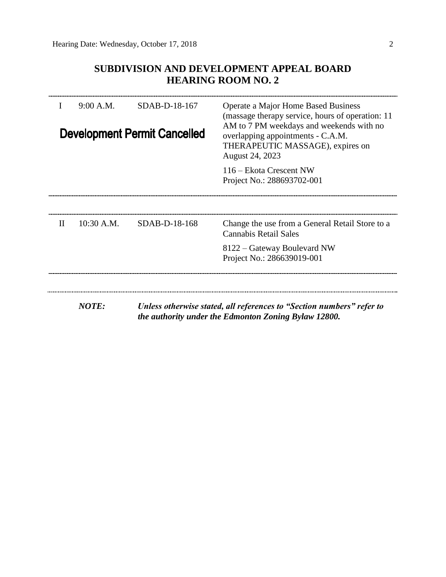## **SUBDIVISION AND DEVELOPMENT APPEAL BOARD HEARING ROOM NO. 2**

| 9:00 A.M.<br>SDAB-D-18-167<br><b>Development Permit Cancelled</b> |              |               | <b>Operate a Major Home Based Business</b><br>(massage therapy service, hours of operation: 11)<br>AM to 7 PM weekdays and weekends with no<br>overlapping appointments - C.A.M.<br>THERAPEUTIC MASSAGE), expires on<br>August 24, 2023 |  |  |
|-------------------------------------------------------------------|--------------|---------------|-----------------------------------------------------------------------------------------------------------------------------------------------------------------------------------------------------------------------------------------|--|--|
|                                                                   |              |               | 116 – Ekota Crescent NW<br>Project No.: 288693702-001                                                                                                                                                                                   |  |  |
| $\Pi$                                                             | $10:30$ A.M. | SDAB-D-18-168 | Change the use from a General Retail Store to a<br><b>Cannabis Retail Sales</b>                                                                                                                                                         |  |  |
|                                                                   |              |               | 8122 – Gateway Boulevard NW<br>Project No.: 286639019-001                                                                                                                                                                               |  |  |
|                                                                   | <b>NOTE:</b> |               | Unless otherwise stated, all references to "Section numbers" refer to<br>the authority under the Edmonton Zoning Bylaw 12800.                                                                                                           |  |  |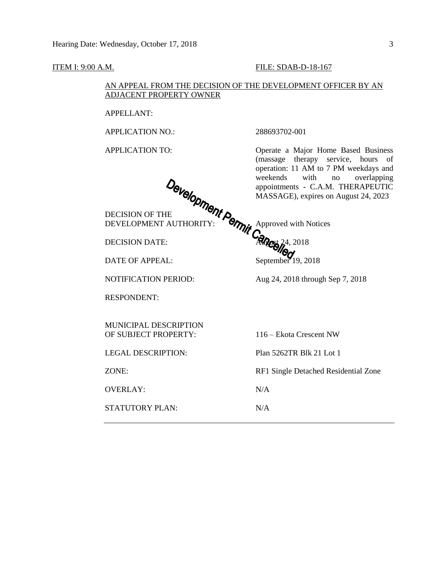#### **ITEM I: 9:00 A.M. FILE: SDAB-D-18-167**

(massage therapy service, hours of operation: 11 AM to 7 PM weekdays and weekends with no overlapping appointments - C.A.M. THERAPEUTIC MASSAGE), expires on August 24, 2023

## AN APPEAL FROM THE DECISION OF THE DEVELOPMENT OFFICER BY AN ADJACENT PROPERTY OWNER

APPELLANT:

APPLICATION NO.: 288693702-001

APPLICATION TO: Operate a Major Home Based Business

DECISION OF THE DEVELOPMENT AUTHORITY:  $\bullet$  Approved with Notices

 $DECISION\,DATE:$   $\overline{MQ}_{est}$  24, 2018

DATE OF APPEAL: September 19, 2018

NOTIFICATION PERIOD: Aug 24, 2018 through Sep 7, 2018

RESPONDENT:

MUNICIPAL DESCRIPTION OF SUBJECT PROPERTY: 116 – Ekota Crescent NW

OVERLAY: N/A

STATUTORY PLAN: N/A

LEGAL DESCRIPTION: Plan 5262TR Blk 21 Lot 1

ZONE: RF1 Single Detached Residential Zone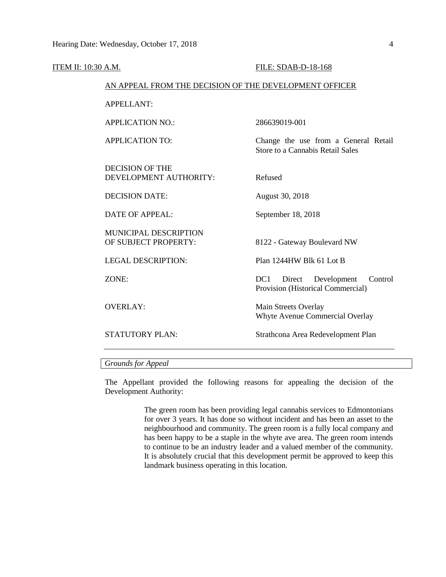| ITEM II: 10:30 A.M. |                                                        | FILE: SDAB-D-18-168                                                                      |  |  |  |  |  |
|---------------------|--------------------------------------------------------|------------------------------------------------------------------------------------------|--|--|--|--|--|
|                     | AN APPEAL FROM THE DECISION OF THE DEVELOPMENT OFFICER |                                                                                          |  |  |  |  |  |
|                     | <b>APPELLANT:</b>                                      |                                                                                          |  |  |  |  |  |
|                     | <b>APPLICATION NO.:</b>                                | 286639019-001                                                                            |  |  |  |  |  |
|                     | <b>APPLICATION TO:</b>                                 | Change the use from a General Retail<br>Store to a Cannabis Retail Sales                 |  |  |  |  |  |
|                     | <b>DECISION OF THE</b><br>DEVELOPMENT AUTHORITY:       | Refused                                                                                  |  |  |  |  |  |
|                     | <b>DECISION DATE:</b>                                  | August 30, 2018                                                                          |  |  |  |  |  |
|                     | <b>DATE OF APPEAL:</b>                                 | September 18, 2018                                                                       |  |  |  |  |  |
|                     | MUNICIPAL DESCRIPTION<br>OF SUBJECT PROPERTY:          | 8122 - Gateway Boulevard NW                                                              |  |  |  |  |  |
|                     | <b>LEGAL DESCRIPTION:</b>                              | Plan 1244HW Blk 61 Lot B                                                                 |  |  |  |  |  |
| ZONE:               |                                                        | DC <sub>1</sub><br>Development<br>Direct<br>Control<br>Provision (Historical Commercial) |  |  |  |  |  |
|                     | <b>OVERLAY:</b>                                        | Main Streets Overlay<br>Whyte Avenue Commercial Overlay                                  |  |  |  |  |  |
|                     | <b>STATUTORY PLAN:</b>                                 | Strathcona Area Redevelopment Plan                                                       |  |  |  |  |  |
|                     |                                                        |                                                                                          |  |  |  |  |  |

## *Grounds for Appeal*

The Appellant provided the following reasons for appealing the decision of the Development Authority:

> The green room has been providing legal cannabis services to Edmontonians for over 3 years. It has done so without incident and has been an asset to the neighbourhood and community. The green room is a fully local company and has been happy to be a staple in the whyte ave area. The green room intends to continue to be an industry leader and a valued member of the community. It is absolutely crucial that this development permit be approved to keep this landmark business operating in this location.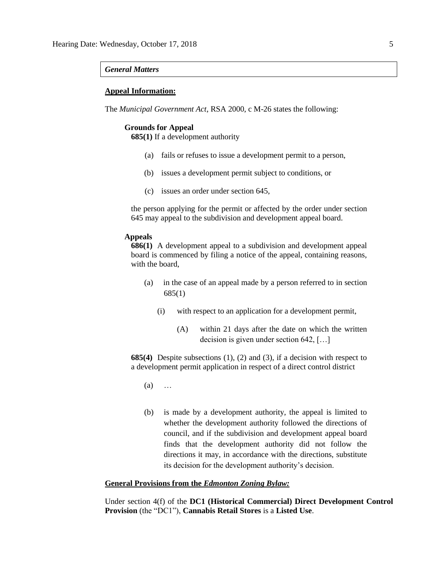#### *General Matters*

### **Appeal Information:**

The *Municipal Government Act*, RSA 2000, c M-26 states the following:

### **Grounds for Appeal**

**685(1)** If a development authority

- (a) fails or refuses to issue a development permit to a person,
- (b) issues a development permit subject to conditions, or
- (c) issues an order under section 645,

the person applying for the permit or affected by the order under section 645 may appeal to the subdivision and development appeal board.

### **Appeals**

**686(1)** A development appeal to a subdivision and development appeal board is commenced by filing a notice of the appeal, containing reasons, with the board,

- (a) in the case of an appeal made by a person referred to in section 685(1)
	- (i) with respect to an application for a development permit,
		- (A) within 21 days after the date on which the written decision is given under section 642, […]

**685(4)** Despite subsections (1), (2) and (3), if a decision with respect to a development permit application in respect of a direct control district

- (a) …
- (b) is made by a development authority, the appeal is limited to whether the development authority followed the directions of council, and if the subdivision and development appeal board finds that the development authority did not follow the directions it may, in accordance with the directions, substitute its decision for the development authority's decision.

#### **General Provisions from the** *Edmonton Zoning Bylaw:*

Under section 4(f) of the **DC1 (Historical Commercial) Direct Development Control Provision** (the "DC1"), **Cannabis Retail Stores** is a **Listed Use**.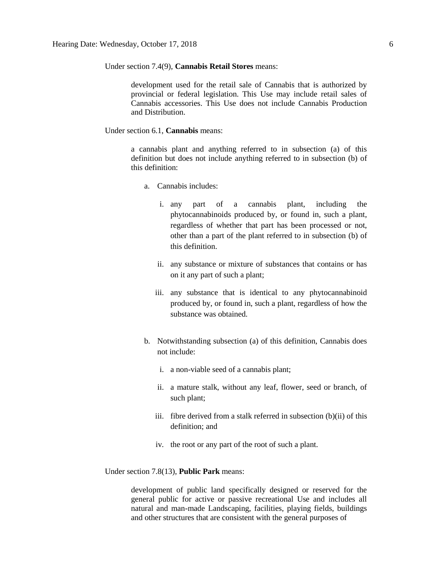Under section 7.4(9), **Cannabis Retail Stores** means:

development used for the retail sale of Cannabis that is authorized by provincial or federal legislation. This Use may include retail sales of Cannabis accessories. This Use does not include Cannabis Production and Distribution.

Under section 6.1, **Cannabis** means:

a cannabis plant and anything referred to in subsection (a) of this definition but does not include anything referred to in subsection (b) of this definition:

- a. Cannabis includes:
	- i. any part of a cannabis plant, including the phytocannabinoids produced by, or found in, such a plant, regardless of whether that part has been processed or not, other than a part of the plant referred to in subsection (b) of this definition.
	- ii. any substance or mixture of substances that contains or has on it any part of such a plant;
	- iii. any substance that is identical to any phytocannabinoid produced by, or found in, such a plant, regardless of how the substance was obtained.
- b. Notwithstanding subsection (a) of this definition, Cannabis does not include:
	- i. a non-viable seed of a cannabis plant;
	- ii. a mature stalk, without any leaf, flower, seed or branch, of such plant;
	- iii. fibre derived from a stalk referred in subsection (b)(ii) of this definition; and
	- iv. the root or any part of the root of such a plant.

Under section 7.8(13), **Public Park** means:

development of public land specifically designed or reserved for the general public for active or passive recreational Use and includes all natural and man-made Landscaping, facilities, playing fields, buildings and other structures that are consistent with the general purposes of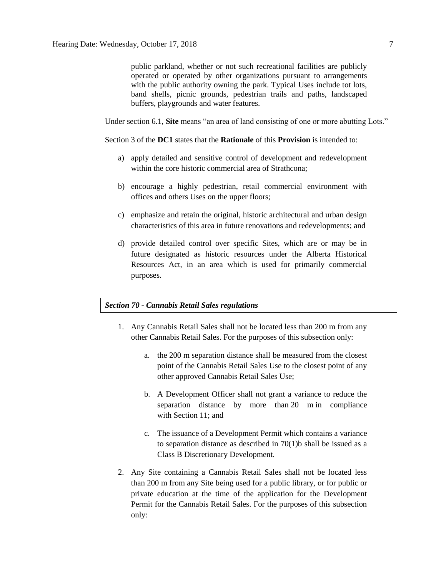public parkland, whether or not such recreational facilities are publicly operated or operated by other organizations pursuant to arrangements with the public authority owning the park. Typical Uses include tot lots, band shells, picnic grounds, pedestrian trails and paths, landscaped buffers, playgrounds and water features.

Under section 6.1, **Site** means "an area of land consisting of one or more abutting Lots."

Section 3 of the **DC1** states that the **Rationale** of this **Provision** is intended to:

- a) apply detailed and sensitive control of development and redevelopment within the core historic commercial area of Strathcona;
- b) encourage a highly pedestrian, retail commercial environment with offices and others Uses on the upper floors;
- c) emphasize and retain the original, historic architectural and urban design characteristics of this area in future renovations and redevelopments; and
- d) provide detailed control over specific Sites, which are or may be in future designated as historic resources under the Alberta Historical Resources Act, in an area which is used for primarily commercial purposes.

#### *Section 70 - Cannabis Retail Sales regulations*

- 1. Any Cannabis Retail Sales shall not be located less than 200 m from any other Cannabis Retail Sales. For the purposes of this subsection only:
	- a. the [200 m](javascript:void(0);) separation distance shall be measured from the closest point of the Cannabis Retail Sales Use to the closest point of any other approved Cannabis Retail Sales Use;
	- b. A Development Officer shall not grant a variance to reduce the separation distance by more than [20 m](javascript:void(0);) in compliance with [Section 11;](https://webdocs.edmonton.ca/InfraPlan/zoningbylaw/ZoningBylaw/Part1/Administrative/11__Authority_and_Responsibility_of_the_Development_Officer.htm) and
	- c. The issuance of a Development Permit which contains a variance to separation distance as described in  $70(1)$ b shall be issued as a Class B Discretionary Development.
- 2. Any Site containing a Cannabis Retail Sales shall not be located less than [200 m](javascript:void(0);) from any Site being used for a public library, or for public or private education at the time of the application for the Development Permit for the Cannabis Retail Sales. For the purposes of this subsection only: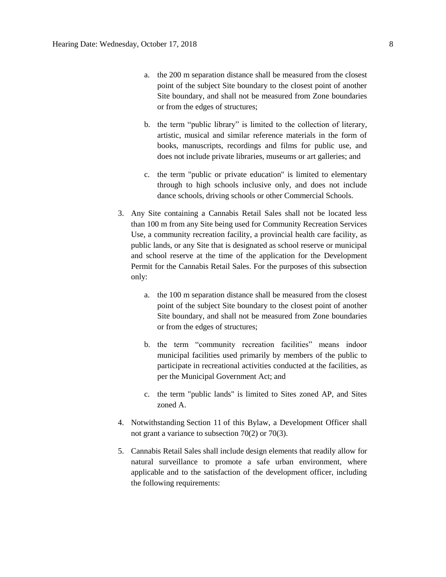- a. the [200 m](javascript:void(0);) separation distance shall be measured from the closest point of the subject Site boundary to the closest point of another Site boundary, and shall not be measured from Zone boundaries or from the edges of structures;
- b. the term "public library" is limited to the collection of literary, artistic, musical and similar reference materials in the form of books, manuscripts, recordings and films for public use, and does not include private libraries, museums or art galleries; and
- c. the term "public or private education" is limited to elementary through to high schools inclusive only, and does not include dance schools, driving schools or other Commercial Schools.
- 3. Any Site containing a Cannabis Retail Sales shall not be located less than [100 m](javascript:void(0);) from any Site being used for Community Recreation Services Use, a community recreation facility, a provincial health care facility, as public lands, or any Site that is designated as school reserve or municipal and school reserve at the time of the application for the Development Permit for the Cannabis Retail Sales. For the purposes of this subsection only:
	- a. the [100 m](javascript:void(0);) separation distance shall be measured from the closest point of the subject Site boundary to the closest point of another Site boundary, and shall not be measured from Zone boundaries or from the edges of structures;
	- b. the term "community recreation facilities" means indoor municipal facilities used primarily by members of the public to participate in recreational activities conducted at the facilities, as per the Municipal Government Act; and
	- c. the term "public lands" is limited to Sites zoned AP, and Sites zoned A.
- 4. Notwithstanding [Section 11](https://webdocs.edmonton.ca/InfraPlan/zoningbylaw/ZoningBylaw/Part1/Administrative/11__Authority_and_Responsibility_of_the_Development_Officer.htm) of this Bylaw, a Development Officer shall not grant a variance to subsection 70(2) or 70(3).
- 5. Cannabis Retail Sales shall include design elements that readily allow for natural surveillance to promote a safe urban environment, where applicable and to the satisfaction of the development officer, including the following requirements: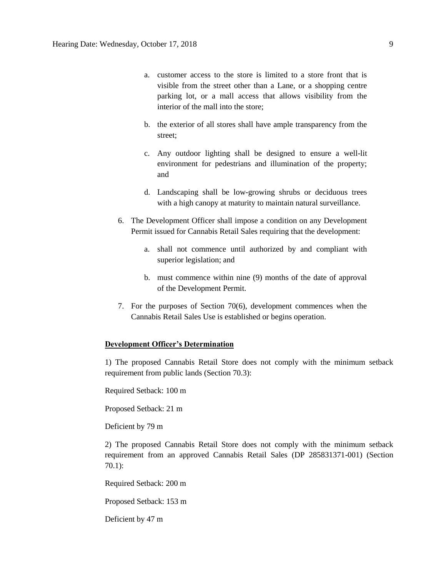- a. customer access to the store is limited to a store front that is visible from the street other than a Lane, or a shopping centre parking lot, or a mall access that allows visibility from the interior of the mall into the store;
- b. the exterior of all stores shall have ample transparency from the street;
- c. Any outdoor lighting shall be designed to ensure a well-lit environment for pedestrians and illumination of the property; and
- d. Landscaping shall be low-growing shrubs or deciduous trees with a high canopy at maturity to maintain natural surveillance.
- 6. The Development Officer shall impose a condition on any Development Permit issued for Cannabis Retail Sales requiring that the development:
	- a. shall not commence until authorized by and compliant with superior legislation; and
	- b. must commence within nine (9) months of the date of approval of the Development Permit.
- 7. For the purposes of Section 70(6), development commences when the Cannabis Retail Sales Use is established or begins operation.

#### **Development Officer's Determination**

1) The proposed Cannabis Retail Store does not comply with the minimum setback requirement from public lands (Section 70.3):

Required Setback: 100 m

Proposed Setback: 21 m

Deficient by 79 m

2) The proposed Cannabis Retail Store does not comply with the minimum setback requirement from an approved Cannabis Retail Sales (DP 285831371-001) (Section 70.1):

Required Setback: 200 m

Proposed Setback: 153 m

Deficient by 47 m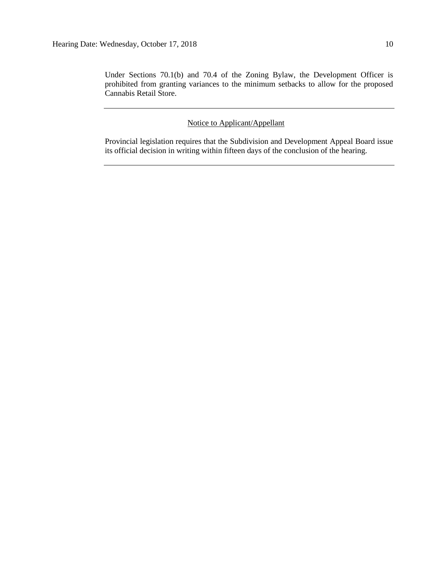Under Sections 70.1(b) and 70.4 of the Zoning Bylaw, the Development Officer is prohibited from granting variances to the minimum setbacks to allow for the proposed Cannabis Retail Store.

## Notice to Applicant/Appellant

Provincial legislation requires that the Subdivision and Development Appeal Board issue its official decision in writing within fifteen days of the conclusion of the hearing.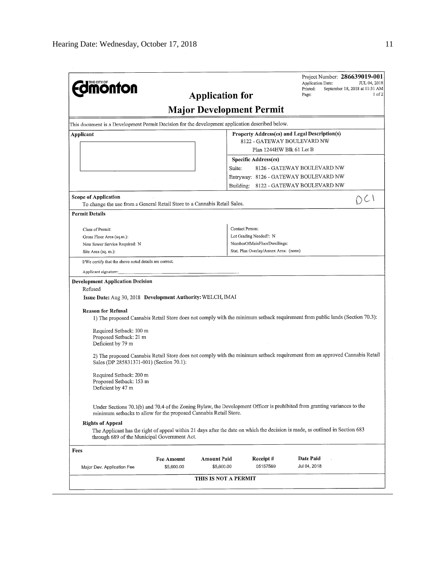| <b>Umönton</b>                                                                                                                                                                                                                                                                                                                                                                                                                                                                                  |                   | <b>Application for</b>             |                                       | Project Number: 286639019-001<br>JUL 04, 2018<br>Application Date:<br>September 18, 2018 at 11:31 AM<br>Printed:<br>$1$ of $2$<br>Page:                                                                                                                                                                                                                                                                                                                                                                                   |  |  |  |  |  |
|-------------------------------------------------------------------------------------------------------------------------------------------------------------------------------------------------------------------------------------------------------------------------------------------------------------------------------------------------------------------------------------------------------------------------------------------------------------------------------------------------|-------------------|------------------------------------|---------------------------------------|---------------------------------------------------------------------------------------------------------------------------------------------------------------------------------------------------------------------------------------------------------------------------------------------------------------------------------------------------------------------------------------------------------------------------------------------------------------------------------------------------------------------------|--|--|--|--|--|
| <b>Major Development Permit</b>                                                                                                                                                                                                                                                                                                                                                                                                                                                                 |                   |                                    |                                       |                                                                                                                                                                                                                                                                                                                                                                                                                                                                                                                           |  |  |  |  |  |
| This document is a Development Permit Decision for the development application described below.                                                                                                                                                                                                                                                                                                                                                                                                 |                   |                                    |                                       |                                                                                                                                                                                                                                                                                                                                                                                                                                                                                                                           |  |  |  |  |  |
| Applicant                                                                                                                                                                                                                                                                                                                                                                                                                                                                                       |                   |                                    |                                       | Property Address(es) and Legal Description(s)                                                                                                                                                                                                                                                                                                                                                                                                                                                                             |  |  |  |  |  |
|                                                                                                                                                                                                                                                                                                                                                                                                                                                                                                 |                   |                                    | Plan 1244HW Blk 61 Lot B              | 8122 - GATEWAY BOULEVARD NW                                                                                                                                                                                                                                                                                                                                                                                                                                                                                               |  |  |  |  |  |
|                                                                                                                                                                                                                                                                                                                                                                                                                                                                                                 |                   |                                    | Specific Address(es)                  |                                                                                                                                                                                                                                                                                                                                                                                                                                                                                                                           |  |  |  |  |  |
|                                                                                                                                                                                                                                                                                                                                                                                                                                                                                                 |                   | Suite:                             |                                       | 8126 - GATEWAY BOULEVARD NW                                                                                                                                                                                                                                                                                                                                                                                                                                                                                               |  |  |  |  |  |
|                                                                                                                                                                                                                                                                                                                                                                                                                                                                                                 |                   |                                    |                                       | Entryway: 8126 - GATEWAY BOULEVARD NW                                                                                                                                                                                                                                                                                                                                                                                                                                                                                     |  |  |  |  |  |
|                                                                                                                                                                                                                                                                                                                                                                                                                                                                                                 |                   |                                    |                                       | Building: 8122 - GATEWAY BOULEVARD NW                                                                                                                                                                                                                                                                                                                                                                                                                                                                                     |  |  |  |  |  |
| <b>Scope of Application</b><br>To change the use from a General Retail Store to a Cannabis Retail Sales.                                                                                                                                                                                                                                                                                                                                                                                        |                   |                                    |                                       | DC I                                                                                                                                                                                                                                                                                                                                                                                                                                                                                                                      |  |  |  |  |  |
| <b>Permit Details</b>                                                                                                                                                                                                                                                                                                                                                                                                                                                                           |                   |                                    |                                       |                                                                                                                                                                                                                                                                                                                                                                                                                                                                                                                           |  |  |  |  |  |
| Class of Permit:                                                                                                                                                                                                                                                                                                                                                                                                                                                                                |                   |                                    | Contact Person:                       |                                                                                                                                                                                                                                                                                                                                                                                                                                                                                                                           |  |  |  |  |  |
| Gross Floor Area (sq.m.):                                                                                                                                                                                                                                                                                                                                                                                                                                                                       |                   |                                    | Lot Grading Needed?: N                |                                                                                                                                                                                                                                                                                                                                                                                                                                                                                                                           |  |  |  |  |  |
| New Sewer Service Required: N                                                                                                                                                                                                                                                                                                                                                                                                                                                                   |                   |                                    | NumberOfMainFloorDwellings:           |                                                                                                                                                                                                                                                                                                                                                                                                                                                                                                                           |  |  |  |  |  |
| Site Area (sq. m.):                                                                                                                                                                                                                                                                                                                                                                                                                                                                             |                   |                                    | Stat. Plan Overlay/Annex Area: (none) |                                                                                                                                                                                                                                                                                                                                                                                                                                                                                                                           |  |  |  |  |  |
| I/We certify that the above noted details are correct.                                                                                                                                                                                                                                                                                                                                                                                                                                          |                   |                                    |                                       |                                                                                                                                                                                                                                                                                                                                                                                                                                                                                                                           |  |  |  |  |  |
| Applicant signature:                                                                                                                                                                                                                                                                                                                                                                                                                                                                            |                   |                                    |                                       |                                                                                                                                                                                                                                                                                                                                                                                                                                                                                                                           |  |  |  |  |  |
| <b>Development Application Decision</b><br>Refused<br>Issue Date: Aug 30, 2018 Development Authority: WELCH, IMAI<br><b>Reason for Refusal</b><br>Required Setback: 100 m<br>Proposed Setback: 21 m<br>Deficient by 79 m<br>Sales (DP 285831371-001) (Section 70.1):<br>Required Setback: 200 m<br>Proposed Setback: 153 m<br>Deficient by 47 m<br>minimum setbacks to allow for the proposed Cannabis Retail Store.<br><b>Rights of Appeal</b><br>through 689 of the Municipal Government Act. |                   |                                    |                                       | 1) The proposed Cannabis Retail Store does not comply with the minimum setback requirement from public lands (Section 70.3):<br>2) The proposed Cannabis Retail Store does not comply with the minimum setback requirement from an approved Cannabis Retail<br>Under Sections 70.1(b) and 70.4 of the Zoning Bylaw, the Development Officer is prohibited from granting variances to the<br>The Applicant has the right of appeal within 21 days after the date on which the decision is made, as outlined in Section 683 |  |  |  |  |  |
| Fees                                                                                                                                                                                                                                                                                                                                                                                                                                                                                            | <b>Fee Amount</b> | <b>Amount Paid</b>                 | Receipt#                              | Date Paid                                                                                                                                                                                                                                                                                                                                                                                                                                                                                                                 |  |  |  |  |  |
| Major Dev. Application Fee                                                                                                                                                                                                                                                                                                                                                                                                                                                                      | \$5,600.00        | \$5,600.00<br>THIS IS NOT A PERMIT | 05157569                              | Jul 04, 2018                                                                                                                                                                                                                                                                                                                                                                                                                                                                                                              |  |  |  |  |  |
|                                                                                                                                                                                                                                                                                                                                                                                                                                                                                                 |                   |                                    |                                       |                                                                                                                                                                                                                                                                                                                                                                                                                                                                                                                           |  |  |  |  |  |